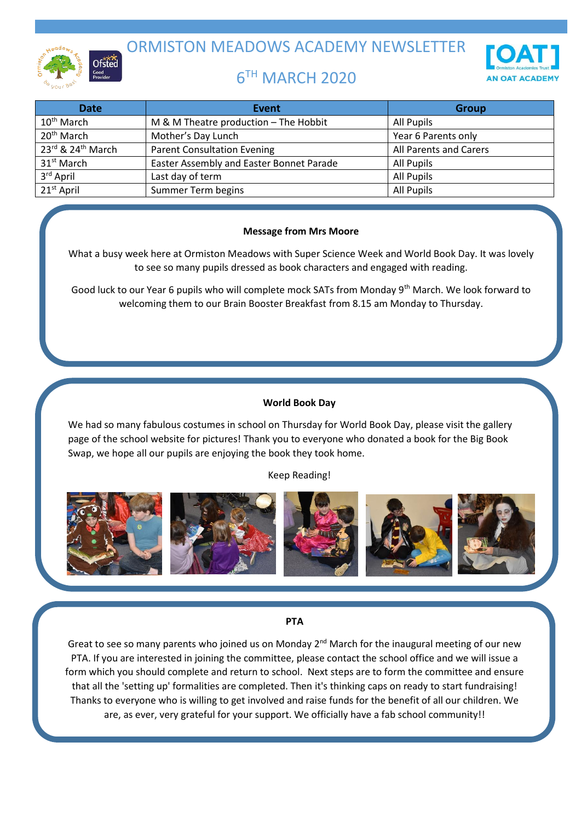

ORMISTON MEADOWS ACADEMY NEWSLETTER

# 6 TH MARCH 2020



| <b>Date</b>            | Event                                    | <b>Group</b>           |
|------------------------|------------------------------------------|------------------------|
| $10th$ March           | M & M Theatre production - The Hobbit    | All Pupils             |
| 20 <sup>th</sup> March | Mother's Day Lunch                       | Year 6 Parents only    |
| 23rd & 24th March      | <b>Parent Consultation Evening</b>       | All Parents and Carers |
| 31 <sup>st</sup> March | Easter Assembly and Easter Bonnet Parade | All Pupils             |
| 3rd April              | Last day of term                         | <b>All Pupils</b>      |
| $21st$ April           | Summer Term begins                       | All Pupils             |

## **Message from Mrs Moore**

What a busy week here at Ormiston Meadows with Super Science Week and World Book Day. It was lovely to see so many pupils dressed as book characters and engaged with reading.

Good luck to our Year 6 pupils who will complete mock SATs from Monday 9<sup>th</sup> March. We look forward to welcoming them to our Brain Booster Breakfast from 8.15 am Monday to Thursday.

## **World Book Day**

We had so many fabulous costumes in school on Thursday for World Book Day, please visit the gallery page of the school website for pictures! Thank you to everyone who donated a book for the Big Book Swap, we hope all our pupils are enjoying the book they took home.

Keep Reading!



### **PTA**

Great to see so many parents who joined us on Monday 2<sup>nd</sup> March for the inaugural meeting of our new PTA. If you are interested in joining the committee, please contact the school office and we will issue a form which you should complete and return to school. Next steps are to form the committee and ensure that all the 'setting up' formalities are completed. Then it's thinking caps on ready to start fundraising! Thanks to everyone who is willing to get involved and raise funds for the benefit of all our children. We are, as ever, very grateful for your support. We officially have a fab school community!!